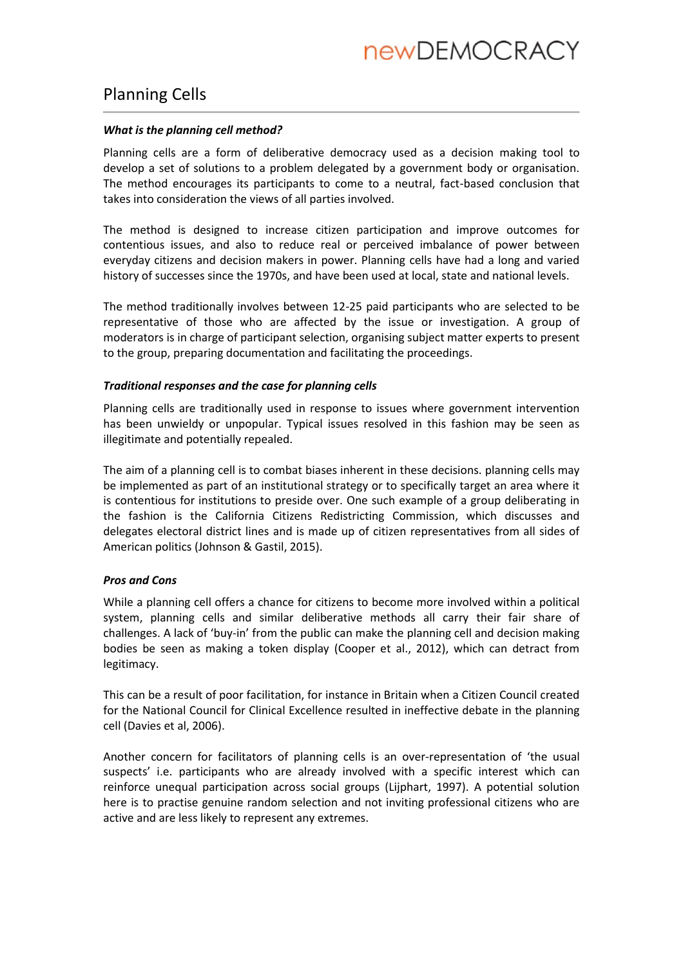# Planning Cells

### *What is the planning cell method?*

Planning cells are a form of deliberative democracy used as a decision making tool to develop a set of solutions to a problem delegated by a government body or organisation. The method encourages its participants to come to a neutral, fact-based conclusion that takes into consideration the views of all parties involved.

The method is designed to increase citizen participation and improve outcomes for contentious issues, and also to reduce real or perceived imbalance of power between everyday citizens and decision makers in power. Planning cells have had a long and varied history of successes since the 1970s, and have been used at local, state and national levels.

The method traditionally involves between 12-25 paid participants who are selected to be representative of those who are affected by the issue or investigation. A group of moderators is in charge of participant selection, organising subject matter experts to present to the group, preparing documentation and facilitating the proceedings.

## *Traditional responses and the case for planning cells*

Planning cells are traditionally used in response to issues where government intervention has been unwieldy or unpopular. Typical issues resolved in this fashion may be seen as illegitimate and potentially repealed.

The aim of a planning cell is to combat biases inherent in these decisions. planning cells may be implemented as part of an institutional strategy or to specifically target an area where it is contentious for institutions to preside over. One such example of a group deliberating in the fashion is the California Citizens Redistricting Commission, which discusses and delegates electoral district lines and is made up of citizen representatives from all sides of American politics (Johnson & Gastil, 2015).

# *Pros and Cons*

While a planning cell offers a chance for citizens to become more involved within a political system, planning cells and similar deliberative methods all carry their fair share of challenges. A lack of 'buy-in' from the public can make the planning cell and decision making bodies be seen as making a token display (Cooper et al., 2012), which can detract from legitimacy.

This can be a result of poor facilitation, for instance in Britain when a Citizen Council created for the National Council for Clinical Excellence resulted in ineffective debate in the planning cell (Davies et al, 2006).

Another concern for facilitators of planning cells is an over-representation of 'the usual suspects' i.e. participants who are already involved with a specific interest which can reinforce unequal participation across social groups (Lijphart, 1997). A potential solution here is to practise genuine random selection and not inviting professional citizens who are active and are less likely to represent any extremes.